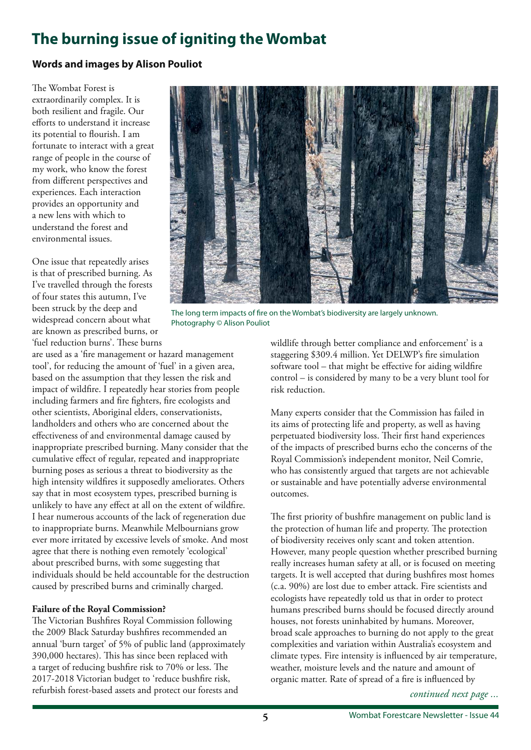# **The burning issue of igniting the Wombat**

# **Words and images by Alison Pouliot**

The Wombat Forest is extraordinarily complex. It is both resilient and fragile. Our eforts to understand it increase its potential to fourish. I am fortunate to interact with a great range of people in the course of my work, who know the forest from diferent perspectives and experiences. Each interaction provides an opportunity and a new lens with which to understand the forest and environmental issues.

One issue that repeatedly arises is that of prescribed burning. As I've travelled through the forests of four states this autumn, I've been struck by the deep and widespread concern about what are known as prescribed burns, or 'fuel reduction burns'. These burns

are used as a 'fre management or hazard management tool', for reducing the amount of 'fuel' in a given area, based on the assumption that they lessen the risk and impact of wildfre. I repeatedly hear stories from people including farmers and fre fghters, fre ecologists and other scientists, Aboriginal elders, conservationists, landholders and others who are concerned about the efectiveness of and environmental damage caused by inappropriate prescribed burning. Many consider that the cumulative efect of regular, repeated and inappropriate burning poses as serious a threat to biodiversity as the high intensity wildfres it supposedly ameliorates. Others say that in most ecosystem types, prescribed burning is unlikely to have any efect at all on the extent of wildfre. I hear numerous accounts of the lack of regeneration due to inappropriate burns. Meanwhile Melbournians grow ever more irritated by excessive levels of smoke. And most agree that there is nothing even remotely 'ecological' about prescribed burns, with some suggesting that individuals should be held accountable for the destruction caused by prescribed burns and criminally charged.

# **Failure of the Royal Commission?**

The Victorian Bushfires Royal Commission following the 2009 Black Saturday bushfres recommended an annual 'burn target' of 5% of public land (approximately 390,000 hectares). This has since been replaced with a target of reducing bushfire risk to 70% or less. The 2017-2018 Victorian budget to 'reduce bushfre risk, refurbish forest-based assets and protect our forests and



The long term impacts of fre on the Wombat's biodiversity are largely unknown. Photography © Alison Pouliot

wildlife through better compliance and enforcement' is a staggering \$309.4 million. Yet DELWP's fre simulation software tool – that might be efective for aiding wildfre control – is considered by many to be a very blunt tool for risk reduction.

Many experts consider that the Commission has failed in its aims of protecting life and property, as well as having perpetuated biodiversity loss. Their first hand experiences of the impacts of prescribed burns echo the concerns of the Royal Commission's independent monitor, Neil Comrie, who has consistently argued that targets are not achievable or sustainable and have potentially adverse environmental outcomes.

The first priority of bushfire management on public land is the protection of human life and property. The protection of biodiversity receives only scant and token attention. However, many people question whether prescribed burning really increases human safety at all, or is focused on meeting targets. It is well accepted that during bushfres most homes (c.a. 90%) are lost due to ember attack. Fire scientists and ecologists have repeatedly told us that in order to protect humans prescribed burns should be focused directly around houses, not forests uninhabited by humans. Moreover, broad scale approaches to burning do not apply to the great complexities and variation within Australia's ecosystem and climate types. Fire intensity is infuenced by air temperature, weather, moisture levels and the nature and amount of organic matter. Rate of spread of a fre is infuenced by

*continued next page ...*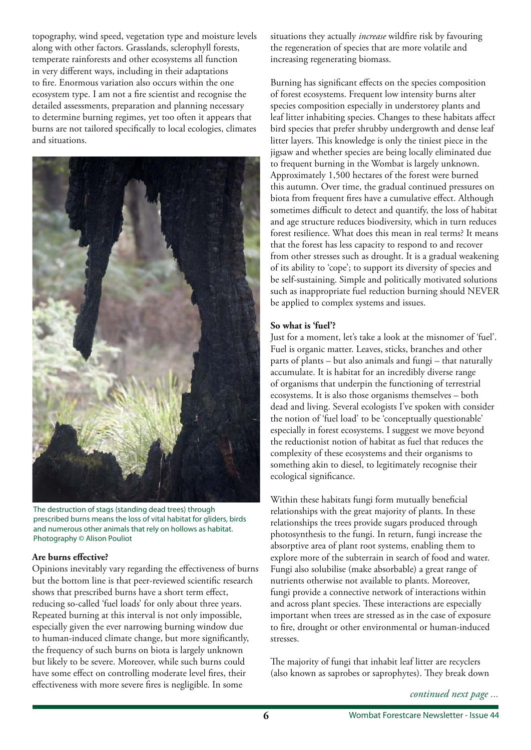topography, wind speed, vegetation type and moisture levels along with other factors. Grasslands, sclerophyll forests, temperate rainforests and other ecosystems all function in very diferent ways, including in their adaptations to fre. Enormous variation also occurs within the one ecosystem type. I am not a fre scientist and recognise the detailed assessments, preparation and planning necessary to determine burning regimes, yet too often it appears that burns are not tailored specifcally to local ecologies, climates and situations.



The destruction of stags (standing dead trees) through prescribed burns means the loss of vital habitat for gliders, birds and numerous other animals that rely on hollows as habitat. Photography © Alison Pouliot

#### **Are burns efective?**

Opinions inevitably vary regarding the efectiveness of burns but the bottom line is that peer-reviewed scientifc research shows that prescribed burns have a short term effect, reducing so-called 'fuel loads' for only about three years. Repeated burning at this interval is not only impossible, especially given the ever narrowing burning window due to human-induced climate change, but more signifcantly, the frequency of such burns on biota is largely unknown but likely to be severe. Moreover, while such burns could have some effect on controlling moderate level fires, their efectiveness with more severe fres is negligible. In some

situations they actually *increase* wildfre risk by favouring the regeneration of species that are more volatile and increasing regenerating biomass.

Burning has signifcant efects on the species composition of forest ecosystems. Frequent low intensity burns alter species composition especially in understorey plants and leaf litter inhabiting species. Changes to these habitats afect bird species that prefer shrubby undergrowth and dense leaf litter layers. This knowledge is only the tiniest piece in the jigsaw and whether species are being locally eliminated due to frequent burning in the Wombat is largely unknown. Approximately 1,500 hectares of the forest were burned this autumn. Over time, the gradual continued pressures on biota from frequent fres have a cumulative efect. Although sometimes difficult to detect and quantify, the loss of habitat and age structure reduces biodiversity, which in turn reduces forest resilience. What does this mean in real terms? It means that the forest has less capacity to respond to and recover from other stresses such as drought. It is a gradual weakening of its ability to 'cope'; to support its diversity of species and be self-sustaining. Simple and politically motivated solutions such as inappropriate fuel reduction burning should NEVER be applied to complex systems and issues.

# **So what is 'fuel'?**

Just for a moment, let's take a look at the misnomer of 'fuel'. Fuel is organic matter. Leaves, sticks, branches and other parts of plants – but also animals and fungi – that naturally accumulate. It is habitat for an incredibly diverse range of organisms that underpin the functioning of terrestrial ecosystems. It is also those organisms themselves – both dead and living. Several ecologists I've spoken with consider the notion of 'fuel load' to be 'conceptually questionable' especially in forest ecosystems. I suggest we move beyond the reductionist notion of habitat as fuel that reduces the complexity of these ecosystems and their organisms to something akin to diesel, to legitimately recognise their ecological signifcance.

Within these habitats fungi form mutually benefcial relationships with the great majority of plants. In these relationships the trees provide sugars produced through photosynthesis to the fungi. In return, fungi increase the absorptive area of plant root systems, enabling them to explore more of the subterrain in search of food and water. Fungi also solubilise (make absorbable) a great range of nutrients otherwise not available to plants. Moreover, fungi provide a connective network of interactions within and across plant species. These interactions are especially important when trees are stressed as in the case of exposure to fre, drought or other environmental or human-induced stresses.

The majority of fungi that inhabit leaf litter are recyclers (also known as saprobes or saprophytes). They break down

*continued next page ...*